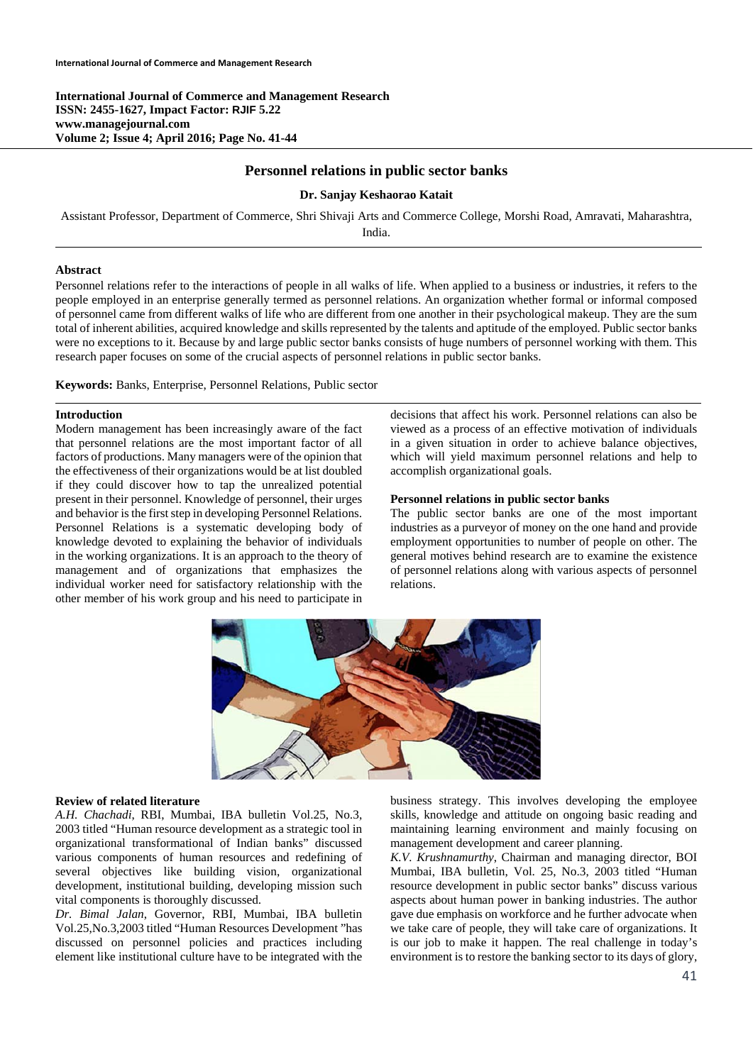**International Journal of Commerce and Management Research ISSN: 2455-1627, Impact Factor: RJIF 5.22 www.managejournal.com Volume 2; Issue 4; April 2016; Page No. 41-44** 

# **Personnel relations in public sector banks**

## **Dr. Sanjay Keshaorao Katait**

Assistant Professor, Department of Commerce, Shri Shivaji Arts and Commerce College, Morshi Road, Amravati, Maharashtra, India.

# **Abstract**

Personnel relations refer to the interactions of people in all walks of life. When applied to a business or industries, it refers to the people employed in an enterprise generally termed as personnel relations. An organization whether formal or informal composed of personnel came from different walks of life who are different from one another in their psychological makeup. They are the sum total of inherent abilities, acquired knowledge and skills represented by the talents and aptitude of the employed. Public sector banks were no exceptions to it. Because by and large public sector banks consists of huge numbers of personnel working with them. This research paper focuses on some of the crucial aspects of personnel relations in public sector banks.

**Keywords:** Banks, Enterprise, Personnel Relations, Public sector

## **Introduction**

Modern management has been increasingly aware of the fact that personnel relations are the most important factor of all factors of productions. Many managers were of the opinion that the effectiveness of their organizations would be at list doubled if they could discover how to tap the unrealized potential present in their personnel. Knowledge of personnel, their urges and behavior is the first step in developing Personnel Relations. Personnel Relations is a systematic developing body of knowledge devoted to explaining the behavior of individuals in the working organizations. It is an approach to the theory of management and of organizations that emphasizes the individual worker need for satisfactory relationship with the other member of his work group and his need to participate in decisions that affect his work. Personnel relations can also be viewed as a process of an effective motivation of individuals in a given situation in order to achieve balance objectives, which will yield maximum personnel relations and help to accomplish organizational goals.

#### **Personnel relations in public sector banks**

The public sector banks are one of the most important industries as a purveyor of money on the one hand and provide employment opportunities to number of people on other. The general motives behind research are to examine the existence of personnel relations along with various aspects of personnel relations.



#### **Review of related literature**

*A.H. Chachadi*, RBI, Mumbai, IBA bulletin Vol.25, No.3, 2003 titled "Human resource development as a strategic tool in organizational transformational of Indian banks" discussed various components of human resources and redefining of several objectives like building vision, organizational development, institutional building, developing mission such vital components is thoroughly discussed.

*Dr. Bimal Jalan*, Governor, RBI, Mumbai, IBA bulletin Vol.25,No.3,2003 titled "Human Resources Development "has discussed on personnel policies and practices including element like institutional culture have to be integrated with the business strategy. This involves developing the employee skills, knowledge and attitude on ongoing basic reading and maintaining learning environment and mainly focusing on management development and career planning.

*K.V. Krushnamurthy*, Chairman and managing director, BOI Mumbai, IBA bulletin, Vol. 25, No.3, 2003 titled "Human resource development in public sector banks" discuss various aspects about human power in banking industries. The author gave due emphasis on workforce and he further advocate when we take care of people, they will take care of organizations. It is our job to make it happen. The real challenge in today's environment is to restore the banking sector to its days of glory,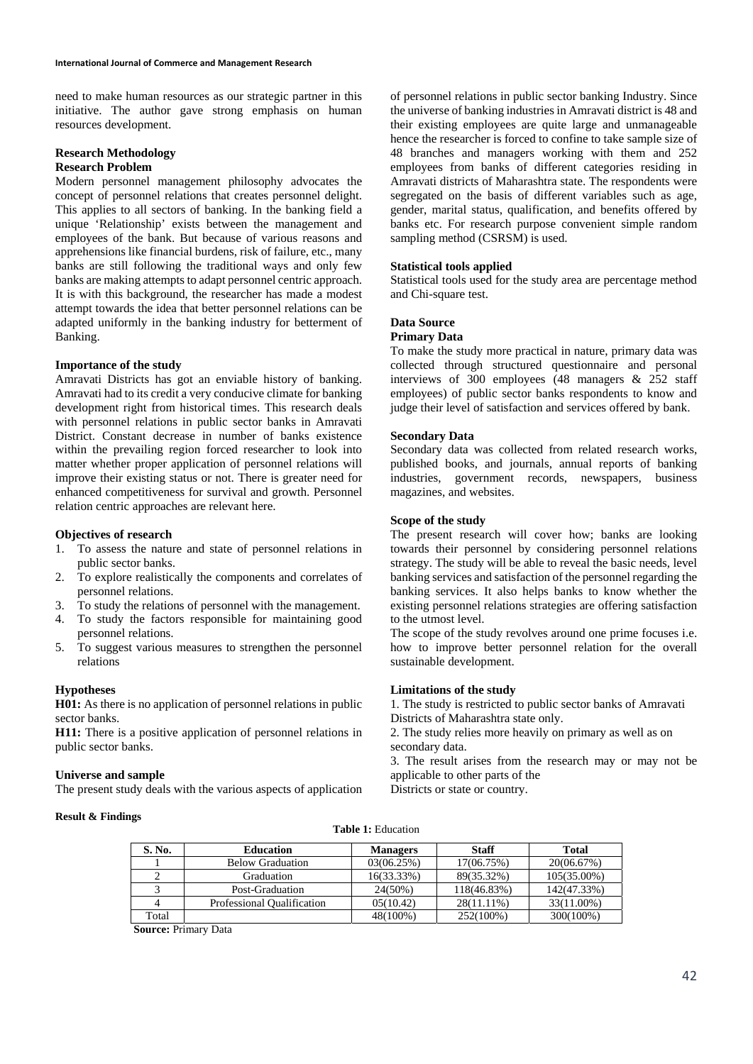need to make human resources as our strategic partner in this initiative. The author gave strong emphasis on human resources development.

# **Research Methodology Research Problem**

Modern personnel management philosophy advocates the concept of personnel relations that creates personnel delight. This applies to all sectors of banking. In the banking field a unique 'Relationship' exists between the management and employees of the bank. But because of various reasons and apprehensions like financial burdens, risk of failure, etc., many banks are still following the traditional ways and only few banks are making attempts to adapt personnel centric approach. It is with this background, the researcher has made a modest attempt towards the idea that better personnel relations can be adapted uniformly in the banking industry for betterment of Banking.

## **Importance of the study**

Amravati Districts has got an enviable history of banking. Amravati had to its credit a very conducive climate for banking development right from historical times. This research deals with personnel relations in public sector banks in Amravati District. Constant decrease in number of banks existence within the prevailing region forced researcher to look into matter whether proper application of personnel relations will improve their existing status or not. There is greater need for enhanced competitiveness for survival and growth. Personnel relation centric approaches are relevant here.

#### **Objectives of research**

- 1. To assess the nature and state of personnel relations in public sector banks.
- 2. To explore realistically the components and correlates of personnel relations.
- 3. To study the relations of personnel with the management.
- 4. To study the factors responsible for maintaining good personnel relations.
- 5. To suggest various measures to strengthen the personnel relations

#### **Hypotheses**

**H01:** As there is no application of personnel relations in public sector banks.

**H11:** There is a positive application of personnel relations in public sector banks.

#### **Universe and sample**

The present study deals with the various aspects of application

of personnel relations in public sector banking Industry. Since the universe of banking industries in Amravati district is 48 and their existing employees are quite large and unmanageable hence the researcher is forced to confine to take sample size of 48 branches and managers working with them and 252 employees from banks of different categories residing in Amravati districts of Maharashtra state. The respondents were segregated on the basis of different variables such as age, gender, marital status, qualification, and benefits offered by banks etc. For research purpose convenient simple random sampling method (CSRSM) is used.

## **Statistical tools applied**

Statistical tools used for the study area are percentage method and Chi-square test.

## **Data Source**

## **Primary Data**

To make the study more practical in nature, primary data was collected through structured questionnaire and personal interviews of 300 employees (48 managers & 252 staff employees) of public sector banks respondents to know and judge their level of satisfaction and services offered by bank.

#### **Secondary Data**

Secondary data was collected from related research works, published books, and journals, annual reports of banking industries, government records, newspapers, business magazines, and websites.

## **Scope of the study**

The present research will cover how; banks are looking towards their personnel by considering personnel relations strategy. The study will be able to reveal the basic needs, level banking services and satisfaction of the personnel regarding the banking services. It also helps banks to know whether the existing personnel relations strategies are offering satisfaction to the utmost level.

The scope of the study revolves around one prime focuses i.e. how to improve better personnel relation for the overall sustainable development.

#### **Limitations of the study**

1. The study is restricted to public sector banks of Amravati Districts of Maharashtra state only.

2. The study relies more heavily on primary as well as on secondary data.

3. The result arises from the research may or may not be applicable to other parts of the

Districts or state or country.

## **Result & Findings**

|  | <b>Table 1: Education</b> |
|--|---------------------------|
|--|---------------------------|

| S. No. | <b>Education</b>           | <b>Managers</b> | Staff       | Total          |
|--------|----------------------------|-----------------|-------------|----------------|
|        | <b>Below Graduation</b>    | 03(06.25%)      | 17(06.75%)  | 20(06.67%)     |
|        | Graduation                 | 16(33.33%)      | 89(35.32%)  | $105(35.00\%)$ |
|        | Post-Graduation            | $24(50\%)$      | 118(46.83%) | 142(47.33%)    |
|        | Professional Qualification | 05(10.42)       | 28(11.11%)  | 33(11.00%)     |
| Total  |                            | 48(100%)        | 252(100%)   | 300(100%)      |

**Source:** Primary Data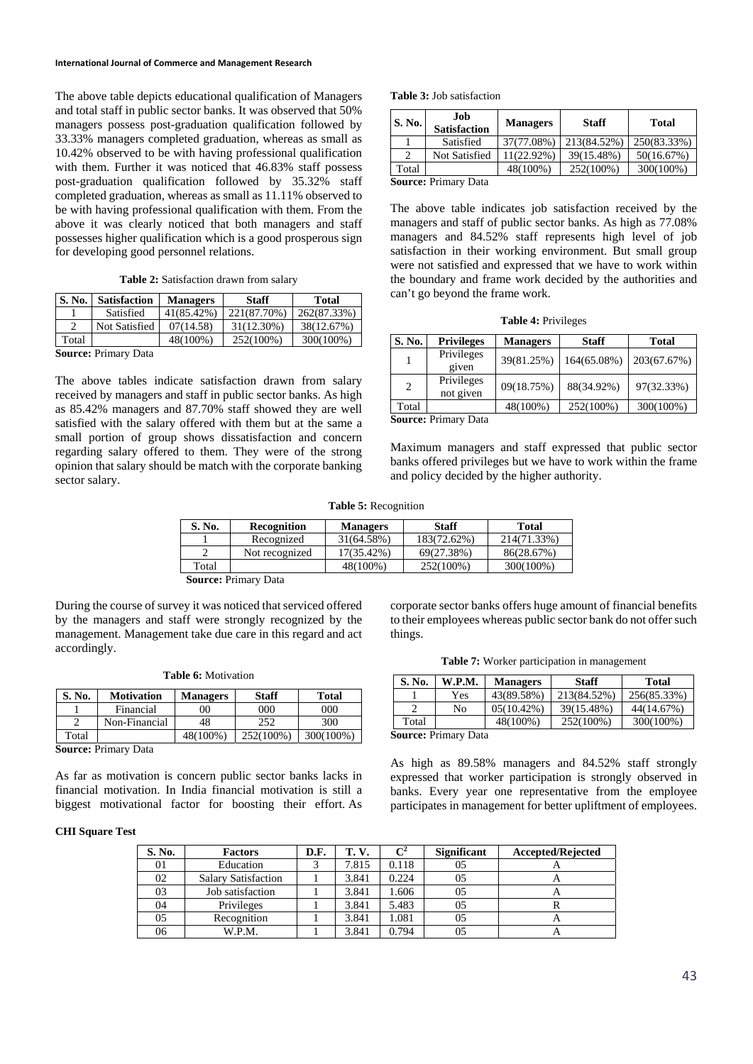The above table depicts educational qualification of Managers and total staff in public sector banks. It was observed that 50% managers possess post-graduation qualification followed by 33.33% managers completed graduation, whereas as small as 10.42% observed to be with having professional qualification with them. Further it was noticed that 46.83% staff possess post-graduation qualification followed by 35.32% staff completed graduation, whereas as small as 11.11% observed to be with having professional qualification with them. From the above it was clearly noticed that both managers and staff possesses higher qualification which is a good prosperous sign for developing good personnel relations.

**Table 2:** Satisfaction drawn from salary

| S. No. | <b>Satisfaction</b> | <b>Managers</b> | <b>Staff</b> | <b>Total</b> |
|--------|---------------------|-----------------|--------------|--------------|
|        | Satisfied           | 41(85.42%)      | 221(87.70%)  | 262(87.33%)  |
| C      | Not Satisfied       | 07(14.58)       | 31(12.30%)   | 38(12.67%)   |
| Total  |                     | 48(100%)        | 252(100%)    | 300(100%)    |

**Source:** Primary Data

The above tables indicate satisfaction drawn from salary received by managers and staff in public sector banks. As high as 85.42% managers and 87.70% staff showed they are well satisfied with the salary offered with them but at the same a small portion of group shows dissatisfaction and concern regarding salary offered to them. They were of the strong opinion that salary should be match with the corporate banking sector salary.

|  | <b>Table 3:</b> Job satisfaction |
|--|----------------------------------|
|  |                                  |

| <b>S. No.</b>  | .Iob<br><b>Satisfaction</b> | <b>Managers</b> | <b>Staff</b> | Total       |
|----------------|-----------------------------|-----------------|--------------|-------------|
|                | Satisfied                   | 37(77.08%)      | 213(84.52%)  | 250(83.33%) |
| $\mathfrak{D}$ | Not Satisfied               | 11(22.92%)      | 39(15.48%)   | 50(16.67%)  |
| Total          |                             | 48(100%)        | 252(100%)    | 300(100%)   |
|                | Course Drimory Data         |                 |              |             |

**Source:** Primary Data

The above table indicates job satisfaction received by the managers and staff of public sector banks. As high as 77.08% managers and 84.52% staff represents high level of job satisfaction in their working environment. But small group were not satisfied and expressed that we have to work within the boundary and frame work decided by the authorities and can't go beyond the frame work.

**Table 4:** Privileges

| S. No.         | <b>Privileges</b>       | <b>Managers</b> | <b>Staff</b> | <b>Total</b> |
|----------------|-------------------------|-----------------|--------------|--------------|
|                | Privileges<br>given     | 39(81.25%)      | 164(65.08%)  | 203(67.67%)  |
| $\overline{c}$ | Privileges<br>not given | 09(18.75%)      | 88(34.92%)   | 97(32.33%)   |
| Total          |                         | 48(100%)        | 252(100%)    | 300(100%)    |
|                | Saurea: Drimary Data    |                 |              |              |

**Source:** Primary Data

Maximum managers and staff expressed that public sector banks offered privileges but we have to work within the frame and policy decided by the higher authority.

**Table 5:** Recognition

| S. No. | <b>Recognition</b> | <b>Managers</b> | <b>Staff</b> | Total       |
|--------|--------------------|-----------------|--------------|-------------|
|        | Recognized         | 31(64.58%)      | 183(72.62%)  | 214(71.33%) |
|        | Not recognized     | 17(35.42%)      | 69(27.38%)   | 86(28.67%)  |
| Total  |                    | 48(100%)        | 252(100%)    | 300(100%)   |
| $\sim$ | - -                |                 |              |             |

**Source:** Primary Data

During the course of survey it was noticed that serviced offered by the managers and staff were strongly recognized by the management. Management take due care in this regard and act accordingly.

|  |  |  | <b>Table 6:</b> Motivation |
|--|--|--|----------------------------|
|--|--|--|----------------------------|

| S. No. | <b>Motivation</b> | <b>Managers</b> | Staff     | <b>Total</b> |
|--------|-------------------|-----------------|-----------|--------------|
|        | Financial         | 00              | 900       | 000          |
|        | Non-Financial     | 48              | 252       | 300          |
| Total  |                   | 48(100%)        | 252(100%) | 300(100%)    |

**Source:** Primary Data

As far as motivation is concern public sector banks lacks in financial motivation. In India financial motivation is still a biggest motivational factor for boosting their effort. As

**CHI Square Test** 

corporate sector banks offers huge amount of financial benefits to their employees whereas public sector bank do not offer such things.

|  |  | Table 7: Worker participation in management |
|--|--|---------------------------------------------|
|  |  |                                             |

| S. No. | W.P.M.                 | <b>Managers</b> | <b>Staff</b> | <b>Total</b> |
|--------|------------------------|-----------------|--------------|--------------|
|        | Yes                    | 43(89.58%)      | 213(84.52%)  | 256(85.33%)  |
|        | No                     | $05(10.42\%)$   | 39(15.48%)   | 44(14.67%)   |
| Total  |                        | 48(100%)        | 252(100%)    | 300(100%)    |
|        | Jammaar Duimaan : Data |                 |              |              |

**Source:** Primary Data

As high as 89.58% managers and 84.52% staff strongly expressed that worker participation is strongly observed in banks. Every year one representative from the employee participates in management for better upliftment of employees.

| S. No. | <b>Factors</b>             | D.F. | <b>T.V.</b> | $\mathbf{C}^2$ | <b>Significant</b> | <b>Accepted/Rejected</b> |
|--------|----------------------------|------|-------------|----------------|--------------------|--------------------------|
| 01     | Education                  |      | 7.815       | 0.118          | 05                 |                          |
| 02     | <b>Salary Satisfaction</b> |      | 3.841       | 0.224          | 05                 |                          |
| 03     | Job satisfaction           |      | 3.841       | 1.606          | 05                 | $\sqrt{ }$               |
| 04     | Privileges                 |      | 3.841       | 5.483          | 05                 |                          |
| 05     | Recognition                |      | 3.841       | 1.081          | 05                 | A                        |
| 06     | W.P.M.                     |      | 3.841       | 0.794          | 05                 | Δ                        |